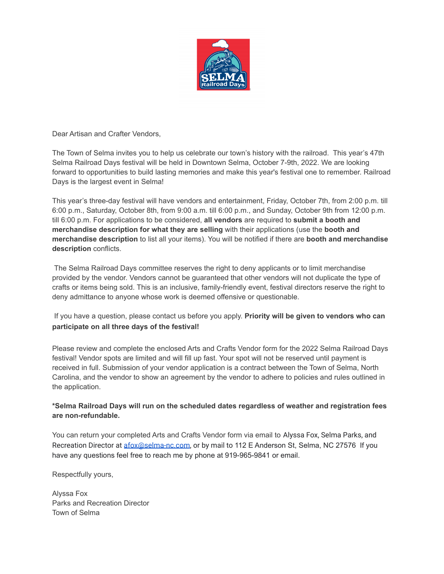

Dear Artisan and Crafter Vendors,

The Town of Selma invites you to help us celebrate our town's history with the railroad. This year's 47th Selma Railroad Days festival will be held in Downtown Selma, October 7-9th, 2022. We are looking forward to opportunities to build lasting memories and make this year's festival one to remember. Railroad Days is the largest event in Selma!

This year's three-day festival will have vendors and entertainment, Friday, October 7th, from 2:00 p.m. till 6:00 p.m., Saturday, October 8th, from 9:00 a.m. till 6:00 p.m., and Sunday, October 9th from 12:00 p.m. till 6:00 p.m. For applications to be considered, **all vendors** are required to **submit a booth and merchandise description for what they are selling** with their applications (use the **booth and merchandise description** to list all your items). You will be notified if there are **booth and merchandise description** conflicts.

The Selma Railroad Days committee reserves the right to deny applicants or to limit merchandise provided by the vendor. Vendors cannot be guaranteed that other vendors will not duplicate the type of crafts or items being sold. This is an inclusive, family-friendly event, festival directors reserve the right to deny admittance to anyone whose work is deemed offensive or questionable.

If you have a question, please contact us before you apply. **Priority will be given to vendors who can participate on all three days of the festival!**

Please review and complete the enclosed Arts and Crafts Vendor form for the 2022 Selma Railroad Days festival! Vendor spots are limited and will fill up fast. Your spot will not be reserved until payment is received in full. Submission of your vendor application is a contract between the Town of Selma, North Carolina, and the vendor to show an agreement by the vendor to adhere to policies and rules outlined in the application.

## **\*Selma Railroad Days will run on the scheduled dates regardless of weather and registration fees are non-refundable.**

You can return your completed Arts and Crafts Vendor form via email to Alyssa Fox, Selma Parks, and Recreation Director at **[afox@selma-nc.com](mailto:afox@selma-nc.com)**, or by mail to 112 E Anderson St, Selma, NC 27576 If you have any questions feel free to reach me by phone at 919-965-9841 or email.

Respectfully yours,

Alyssa Fox Parks and Recreation Director Town of Selma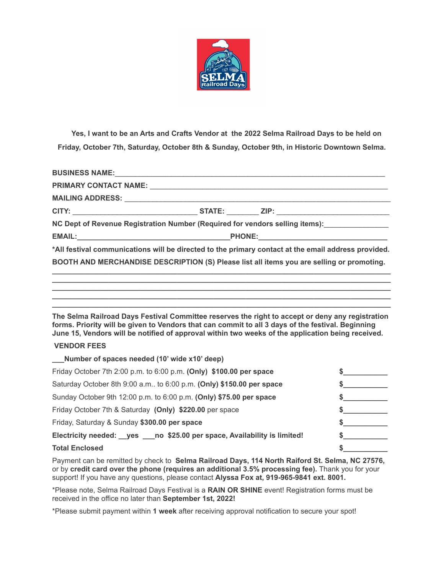

Yes, I want to be an Arts and Crafts Vendor at the 2022 Selma Railroad Days to be held on **Friday, October 7th, Saturday, October 8th & Sunday, October 9th, in Historic Downtown Selma.**

|  | NC Dept of Revenue Registration Number (Required for vendors selling items): ________________       |
|--|-----------------------------------------------------------------------------------------------------|
|  |                                                                                                     |
|  | *All festival communications will be directed to the primary contact at the email address provided. |
|  | BOOTH AND MERCHANDISE DESCRIPTION (S) Please list all items you are selling or promoting.           |
|  |                                                                                                     |

**The Selma Railroad Days Festival Committee reserves the right to accept or deny any registration forms. Priority will be given to Vendors that can commit to all 3 days of the festival. Beginning June 15, Vendors will be notified of approval within two weeks of the application being received.**

**\_\_\_\_\_\_\_\_\_\_\_\_\_\_\_\_\_\_\_\_\_\_\_\_\_\_\_\_\_\_\_\_\_\_\_\_\_\_\_\_\_\_\_\_\_\_\_\_\_\_\_\_\_\_\_\_\_\_\_\_\_\_\_\_\_\_\_\_\_\_\_\_\_\_\_\_\_\_\_\_\_\_\_\_ \_\_\_\_\_\_\_\_\_\_\_\_\_\_\_\_\_\_\_\_\_\_\_\_\_\_\_\_\_\_\_\_\_\_\_\_\_\_\_\_\_\_\_\_\_\_\_\_\_\_\_\_\_\_\_\_\_\_\_\_\_\_\_\_\_\_\_\_\_\_\_\_\_\_\_\_\_\_\_\_\_\_\_\_ \_\_\_\_\_\_\_\_\_\_\_\_\_\_\_\_\_\_\_\_\_\_\_\_\_\_\_\_\_\_\_\_\_\_\_\_\_\_\_\_\_\_\_\_\_\_\_\_\_\_\_\_\_\_\_\_\_\_\_\_\_\_\_\_\_\_\_\_\_\_\_\_\_\_\_\_\_\_\_\_\_\_\_\_**

## **VENDOR FEES**

**\_\_\_Number of spaces needed (10' wide x10' deep)**

| NUMBER OF SPACES REGUED (TO WIDE X ID GEED)                                 |  |
|-----------------------------------------------------------------------------|--|
| Friday October 7th 2:00 p.m. to 6:00 p.m. (Only) \$100.00 per space         |  |
| Saturday October 8th 9:00 a.m., to 6:00 p.m. (Only) \$150.00 per space      |  |
| Sunday October 9th 12:00 p.m. to 6:00 p.m. (Only) \$75.00 per space         |  |
| Friday October 7th & Saturday (Only) \$220.00 per space                     |  |
| Friday, Saturday & Sunday \$300.00 per space                                |  |
| Electricity needed: _yes ___ no \$25.00 per space, Availability is limited! |  |
| <b>Total Enclosed</b>                                                       |  |

Payment can be remitted by check to **Selma Railroad Days, 114 North Raiford St. Selma, NC 27576,** or by **credit card over the phone (requires an additional 3.5% processing fee).** Thank you for your support! If you have any questions, please contact **Alyssa Fox at, 919-965-9841 ext. 8001.**

\*Please note, Selma Railroad Days Festival is a **RAIN OR SHINE** event! Registration forms must be received in the office no later than **September 1st, 2022!**

\*Please submit payment within **1 week** after receiving approval notification to secure your spot!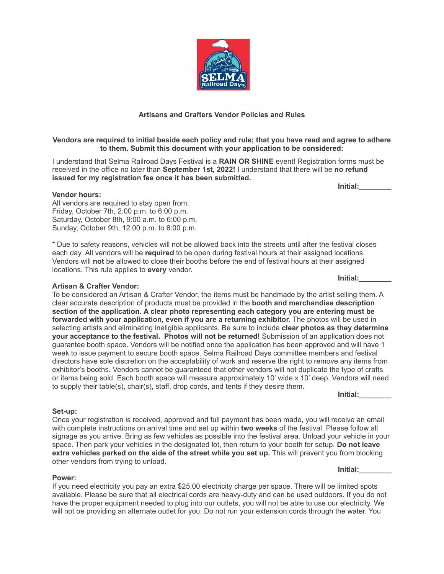

## Vendors are required to initial beside each policy and rule; that you have read and agree to adhere **to them. Submit this document with your application to be considered:**

I understand that Selma Railroad Days Festival is a **RAIN OR SHINE** event! Registration forms must be received in the office no later than **September 1st, 2022!** I understand that there will be **no refund issued for my registration fee once it has been submitted.**

## **Vendor hours:**

All vendors are required to stay open from: Friday, October 7th, 2:00 p.m. to 6:00 p.m. Saturday, October 8th, 9:00 a.m. to 6:00 p.m. Sunday, October 9th, 12:00 p.m. to 6:00 p.m.

\* Due to safety reasons, vehicles will not be allowed back into the streets until after the festival closes each day. All vendors will be **required** to be open during festival hours at their assigned locations. Vendors will **not** be allowed to close their booths before the end of festival hours at their assigned locations. This rule applies to **every** vendor.

## **Artisan & Crafter Vendor:**

To be considered an Artisan & Crafter Vendor, the items must be handmade by the artist selling them. A clear accurate description of products must be provided in the **booth and merchandise description section of the application. A clear photo representing each category you are entering must be forwarded with your application, even if you are a returning exhibitor.** The photos will be used in selecting artists and eliminating ineligible applicants. Be sure to include **clear photos as they determine your acceptance to the festival. Photos will not be returned!** Submission of an application does not guarantee booth space. Vendors will be notified once the application has been approved and will have 1 week to issue payment to secure booth space. Selma Railroad Days committee members and festival directors have sole discretion on the acceptability of work and reserve the right to remove any items from exhibitor's booths. Vendors cannot be guaranteed that other vendors will not duplicate the type of crafts or items being sold. Each booth space will measure approximately 10' wide x 10' deep. Vendors will need to supply their table(s), chair(s), staff, drop cords, and tents if they desire them.

**Initial:\_\_\_\_\_\_\_\_**

### **Set-up:**

Once your registration is received, approved and full payment has been made, you will receive an email with complete instructions on arrival time and set up within **two weeks** of the festival. Please follow all signage as you arrive. Bring as few vehicles as possible into the festival area. Unload your vehicle in your space. Then park your vehicles in the designated lot, then return to your booth for setup. **Do not leave extra vehicles parked on the side of the street while you set up.** This will prevent you from blocking other vendors from trying to unload.

### **Power:**

If you need electricity you pay an extra \$25.00 electricity charge per space. There will be limited spots available. Please be sure that all electrical cords are heavy-duty and can be used outdoors. If you do not have the proper equipment needed to plug into our outlets, you will not be able to use our electricity. We will not be providing an alternate outlet for you. Do not run your extension cords through the water. You

**Initial:\_\_\_\_\_\_\_\_**

**Initial:\_\_\_\_\_\_\_\_**



**Initial:\_\_\_\_\_\_\_\_**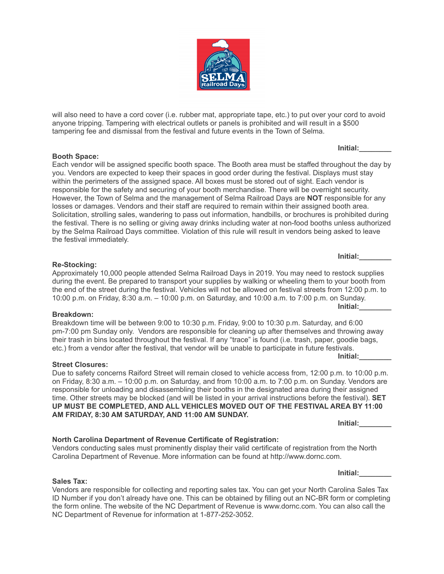will also need to have a cord cover (i.e. rubber mat, appropriate tape, etc.) to put over your cord to avoid anyone tripping. Tampering with electrical outlets or panels is prohibited and will result in a \$500 tampering fee and dismissal from the festival and future events in the Town of Selma.

**Booth Space:** Each vendor will be assigned specific booth space. The Booth area must be staffed throughout the day by you. Vendors are expected to keep their spaces in good order during the festival. Displays must stay within the perimeters of the assigned space. All boxes must be stored out of sight. Each vendor is responsible for the safety and securing of your booth merchandise. There will be overnight security. However, the Town of Selma and the management of Selma Railroad Days are **NOT** responsible for any losses or damages. Vendors and their staff are required to remain within their assigned booth area. Solicitation, strolling sales, wandering to pass out information, handbills, or brochures is prohibited during the festival. There is no selling or giving away drinks including water at non-food booths unless authorized by the Selma Railroad Days committee. Violation of this rule will result in vendors being asked to leave the festival immediately.

Approximately 10,000 people attended Selma Railroad Days in 2019. You may need to restock supplies during the event. Be prepared to transport your supplies by walking or wheeling them to your booth from the end of the street during the festival. Vehicles will not be allowed on festival streets from 12:00 p.m. to 10:00 p.m. on Friday, 8:30 a.m. – 10:00 p.m. on Saturday, and 10:00 a.m. to 7:00 p.m. on Sunday. **Initial:\_\_\_\_\_\_\_\_**

Breakdown time will be between 9:00 to 10:30 p.m. Friday, 9:00 to 10:30 p.m. Saturday, and 6:00 pm-7:00 pm Sunday only. Vendors are responsible for cleaning up after themselves and throwing away their trash in bins located throughout the festival. If any "trace" is found (i.e. trash, paper, goodie bags, etc.) from a vendor after the festival, that vendor will be unable to participate in future festivals. **Initial:\_\_\_\_\_\_\_\_**

**Street Closures:**

**Sales Tax:**

Due to safety concerns Raiford Street will remain closed to vehicle access from, 12:00 p.m. to 10:00 p.m. on Friday, 8:30 a.m. – 10:00 p.m. on Saturday, and from 10:00 a.m. to 7:00 p.m. on Sunday. Vendors are responsible for unloading and disassembling their booths in the designated area during their assigned time. Other streets may be blocked (and will be listed in your arrival instructions before the festival). **SET UP MUST BE COMPLETED, AND ALL VEHICLES MOVED OUT OF THE FESTIVAL AREA BY 11:00 AM FRIDAY, 8:30 AM SATURDAY, AND 11:00 AM SUNDAY.**

Vendors conducting sales must prominently display their valid certificate of registration from the North Carolina Department of Revenue. More information can be found at http://www.dornc.com.

Vendors are responsible for collecting and reporting sales tax. You can get your North Carolina Sales Tax ID Number if you don't already have one. This can be obtained by filling out an NC-BR form or completing the form online. The website of the NC Department of Revenue is www.dornc.com. You can also call the NC Department of Revenue for information at 1-877-252-3052.

## **Re-Stocking:**

# **Breakdown:**

## **North Carolina Department of Revenue Certificate of Registration:**

**Initial:\_\_\_\_\_\_\_\_**

**Initial:\_\_\_\_\_\_\_\_**



**Initial:\_\_\_\_\_\_\_\_**

**Initial:\_\_\_\_\_\_\_\_**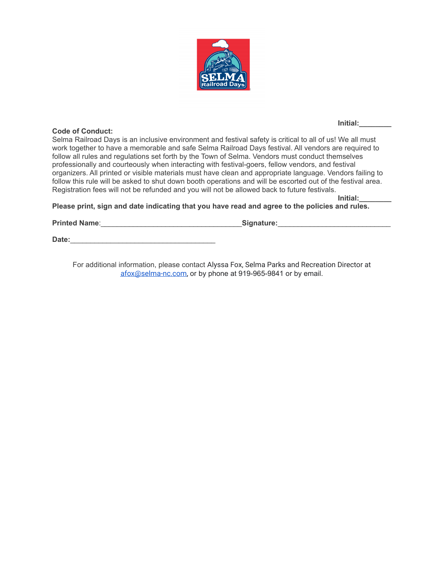

## **Code of Conduct:**

**Initial:\_\_\_\_\_\_\_\_**

Selma Railroad Days is an inclusive environment and festival safety is critical to all of us! We all must work together to have a memorable and safe Selma Railroad Days festival. All vendors are required to follow all rules and regulations set forth by the Town of Selma. Vendors must conduct themselves professionally and courteously when interacting with festival-goers, fellow vendors, and festival organizers. All printed or visible materials must have clean and appropriate language. Vendors failing to follow this rule will be asked to shut down booth operations and will be escorted out of the festival area. Registration fees will not be refunded and you will not be allowed back to future festivals.

**Initial:\_\_\_\_\_\_\_\_**

**Please print, sign and date indicating that you have read and agree to the policies and rules.**

**Printed Name**:\_\_\_\_\_\_\_\_\_\_\_\_\_\_\_\_\_\_\_\_\_\_\_\_\_\_\_\_\_\_\_\_\_\_\_**Signature:**\_\_\_\_\_\_\_\_\_\_\_\_\_\_\_\_\_\_\_\_\_\_\_\_\_\_\_\_

**Date:**\_\_\_\_\_\_\_\_\_\_\_\_\_\_\_\_\_\_\_\_\_\_\_\_\_\_\_\_\_\_\_\_\_\_\_\_

For additional information, please contact Alyssa Fox, Selma Parks and Recreation Director at [afox@selma-nc.com,](mailto:afox@selma-nc.com) or by phone at 919-965-9841 or by email.